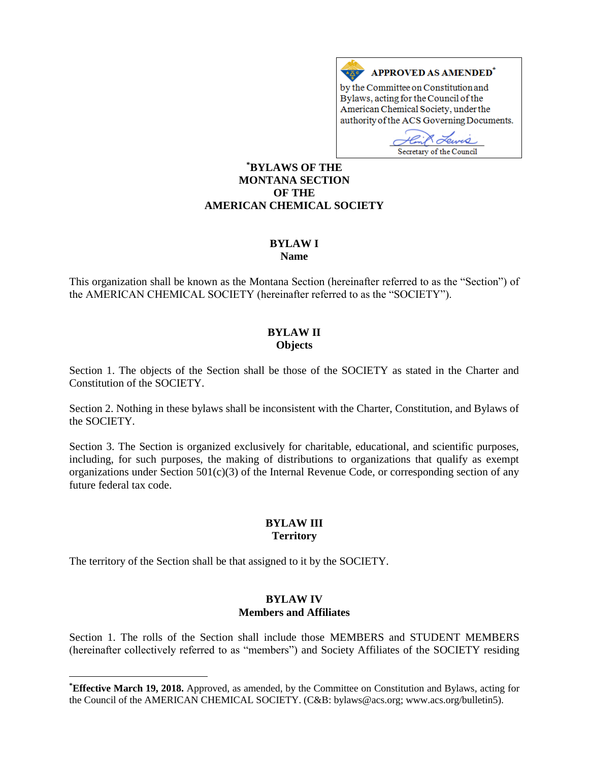

Bylaws, acting for the Council of the American Chemical Society, under the authority of the ACS Governing Documents.

w Secretary of the Council

#### **\*BYLAWS OF THE MONTANA SECTION OF THE AMERICAN CHEMICAL SOCIETY**

# **BYLAW I**

**Name**

This organization shall be known as the Montana Section (hereinafter referred to as the "Section") of the AMERICAN CHEMICAL SOCIETY (hereinafter referred to as the "SOCIETY").

#### **BYLAW II Objects**

Section 1. The objects of the Section shall be those of the SOCIETY as stated in the Charter and Constitution of the SOCIETY.

Section 2. Nothing in these bylaws shall be inconsistent with the Charter, Constitution, and Bylaws of the SOCIETY.

Section 3. The Section is organized exclusively for charitable, educational, and scientific purposes, including, for such purposes, the making of distributions to organizations that qualify as exempt organizations under Section  $501(c)(3)$  of the Internal Revenue Code, or corresponding section of any future federal tax code.

# **BYLAW III Territory**

The territory of the Section shall be that assigned to it by the SOCIETY.

 $\overline{a}$ 

#### **BYLAW IV Members and Affiliates**

Section 1. The rolls of the Section shall include those MEMBERS and STUDENT MEMBERS (hereinafter collectively referred to as "members") and Society Affiliates of the SOCIETY residing

**<sup>\*</sup>Effective March 19, 2018.** Approved, as amended, by the Committee on Constitution and Bylaws, acting for the Council of the AMERICAN CHEMICAL SOCIETY. (C&B: bylaws@acs.org; www.acs.org/bulletin5).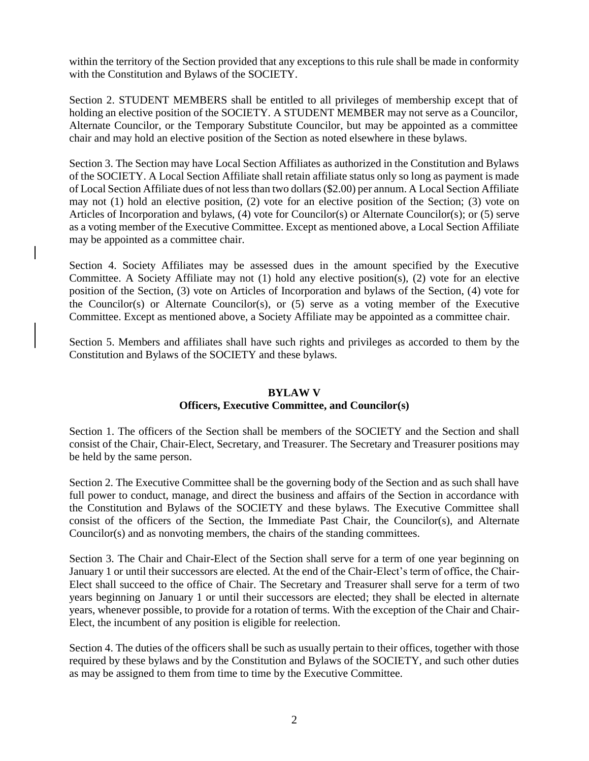within the territory of the Section provided that any exceptions to this rule shall be made in conformity with the Constitution and Bylaws of the SOCIETY.

Section 2. STUDENT MEMBERS shall be entitled to all privileges of membership except that of holding an elective position of the SOCIETY. A STUDENT MEMBER may not serve as a Councilor, Alternate Councilor, or the Temporary Substitute Councilor, but may be appointed as a committee chair and may hold an elective position of the Section as noted elsewhere in these bylaws.

Section 3. The Section may have Local Section Affiliates as authorized in the Constitution and Bylaws of the SOCIETY. A Local Section Affiliate shall retain affiliate status only so long as payment is made of Local Section Affiliate dues of not less than two dollars (\$2.00) per annum. A Local Section Affiliate may not (1) hold an elective position, (2) vote for an elective position of the Section; (3) vote on Articles of Incorporation and bylaws, (4) vote for Councilor(s) or Alternate Councilor(s); or (5) serve as a voting member of the Executive Committee. Except as mentioned above, a Local Section Affiliate may be appointed as a committee chair.

Section 4. Society Affiliates may be assessed dues in the amount specified by the Executive Committee. A Society Affiliate may not (1) hold any elective position(s), (2) vote for an elective position of the Section, (3) vote on Articles of Incorporation and bylaws of the Section, (4) vote for the Councilor(s) or Alternate Councilor(s), or (5) serve as a voting member of the Executive Committee. Except as mentioned above, a Society Affiliate may be appointed as a committee chair.

Section 5. Members and affiliates shall have such rights and privileges as accorded to them by the Constitution and Bylaws of the SOCIETY and these bylaws.

# **BYLAW V**

# **Officers, Executive Committee, and Councilor(s)**

Section 1. The officers of the Section shall be members of the SOCIETY and the Section and shall consist of the Chair, Chair-Elect, Secretary, and Treasurer. The Secretary and Treasurer positions may be held by the same person.

Section 2. The Executive Committee shall be the governing body of the Section and as such shall have full power to conduct, manage, and direct the business and affairs of the Section in accordance with the Constitution and Bylaws of the SOCIETY and these bylaws. The Executive Committee shall consist of the officers of the Section, the Immediate Past Chair, the Councilor(s), and Alternate Councilor(s) and as nonvoting members, the chairs of the standing committees.

Section 3. The Chair and Chair-Elect of the Section shall serve for a term of one year beginning on January 1 or until their successors are elected. At the end of the Chair-Elect's term of office, the Chair-Elect shall succeed to the office of Chair. The Secretary and Treasurer shall serve for a term of two years beginning on January 1 or until their successors are elected; they shall be elected in alternate years, whenever possible, to provide for a rotation of terms. With the exception of the Chair and Chair-Elect, the incumbent of any position is eligible for reelection.

Section 4. The duties of the officers shall be such as usually pertain to their offices, together with those required by these bylaws and by the Constitution and Bylaws of the SOCIETY, and such other duties as may be assigned to them from time to time by the Executive Committee.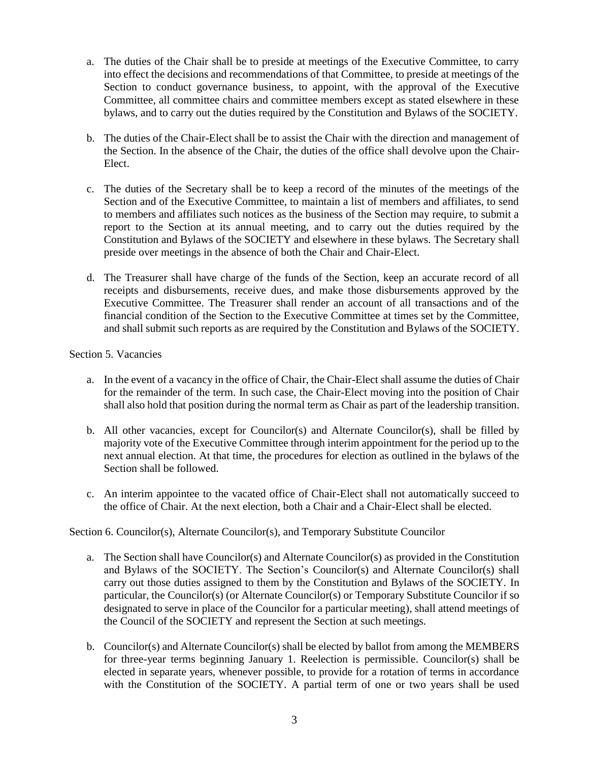- a. The duties of the Chair shall be to preside at meetings of the Executive Committee, to carry into effect the decisions and recommendations of that Committee, to preside at meetings of the Section to conduct governance business, to appoint, with the approval of the Executive Committee, all committee chairs and committee members except as stated elsewhere in these bylaws, and to carry out the duties required by the Constitution and Bylaws of the SOCIETY.
- b. The duties of the Chair-Elect shall be to assist the Chair with the direction and management of the Section. In the absence of the Chair, the duties of the office shall devolve upon the Chair-Elect.
- c. The duties of the Secretary shall be to keep a record of the minutes of the meetings of the Section and of the Executive Committee, to maintain a list of members and affiliates, to send to members and affiliates such notices as the business of the Section may require, to submit a report to the Section at its annual meeting, and to carry out the duties required by the Constitution and Bylaws of the SOCIETY and elsewhere in these bylaws. The Secretary shall preside over meetings in the absence of both the Chair and Chair-Elect.
- d. The Treasurer shall have charge of the funds of the Section, keep an accurate record of all receipts and disbursements, receive dues, and make those disbursements approved by the Executive Committee. The Treasurer shall render an account of all transactions and of the financial condition of the Section to the Executive Committee at times set by the Committee, and shall submit such reports as are required by the Constitution and Bylaws of the SOCIETY.

#### Section 5. Vacancies

- a. In the event of a vacancy in the office of Chair, the Chair-Elect shall assume the duties of Chair for the remainder of the term. In such case, the Chair-Elect moving into the position of Chair shall also hold that position during the normal term as Chair as part of the leadership transition.
- b. All other vacancies, except for Councilor(s) and Alternate Councilor(s), shall be filled by majority vote of the Executive Committee through interim appointment for the period up to the next annual election. At that time, the procedures for election as outlined in the bylaws of the Section shall be followed.
- c. An interim appointee to the vacated office of Chair-Elect shall not automatically succeed to the office of Chair. At the next election, both a Chair and a Chair-Elect shall be elected.

#### Section 6. Councilor(s), Alternate Councilor(s), and Temporary Substitute Councilor

- a. The Section shall have Councilor(s) and Alternate Councilor(s) as provided in the Constitution and Bylaws of the SOCIETY. The Section's Councilor(s) and Alternate Councilor(s) shall carry out those duties assigned to them by the Constitution and Bylaws of the SOCIETY. In particular, the Councilor(s) (or Alternate Councilor(s) or Temporary Substitute Councilor if so designated to serve in place of the Councilor for a particular meeting), shall attend meetings of the Council of the SOCIETY and represent the Section at such meetings.
- b. Councilor(s) and Alternate Councilor(s) shall be elected by ballot from among the MEMBERS for three-year terms beginning January 1. Reelection is permissible. Councilor(s) shall be elected in separate years, whenever possible, to provide for a rotation of terms in accordance with the Constitution of the SOCIETY. A partial term of one or two years shall be used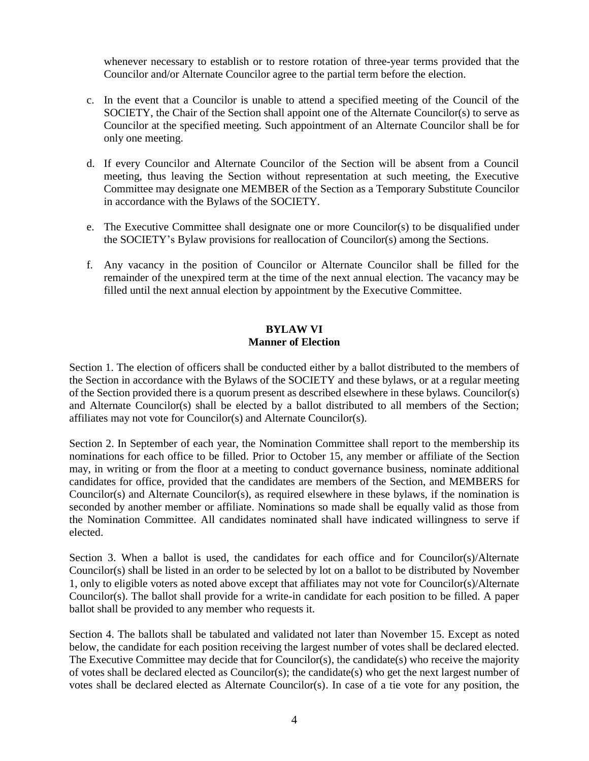whenever necessary to establish or to restore rotation of three-year terms provided that the Councilor and/or Alternate Councilor agree to the partial term before the election.

- c. In the event that a Councilor is unable to attend a specified meeting of the Council of the SOCIETY, the Chair of the Section shall appoint one of the Alternate Councilor(s) to serve as Councilor at the specified meeting. Such appointment of an Alternate Councilor shall be for only one meeting.
- d. If every Councilor and Alternate Councilor of the Section will be absent from a Council meeting, thus leaving the Section without representation at such meeting, the Executive Committee may designate one MEMBER of the Section as a Temporary Substitute Councilor in accordance with the Bylaws of the SOCIETY.
- e. The Executive Committee shall designate one or more Councilor(s) to be disqualified under the SOCIETY's Bylaw provisions for reallocation of Councilor(s) among the Sections.
- f. Any vacancy in the position of Councilor or Alternate Councilor shall be filled for the remainder of the unexpired term at the time of the next annual election. The vacancy may be filled until the next annual election by appointment by the Executive Committee.

#### **BYLAW VI Manner of Election**

Section 1. The election of officers shall be conducted either by a ballot distributed to the members of the Section in accordance with the Bylaws of the SOCIETY and these bylaws, or at a regular meeting of the Section provided there is a quorum present as described elsewhere in these bylaws. Councilor(s) and Alternate Councilor(s) shall be elected by a ballot distributed to all members of the Section; affiliates may not vote for Councilor(s) and Alternate Councilor(s).

Section 2. In September of each year, the Nomination Committee shall report to the membership its nominations for each office to be filled. Prior to October 15, any member or affiliate of the Section may, in writing or from the floor at a meeting to conduct governance business, nominate additional candidates for office, provided that the candidates are members of the Section, and MEMBERS for Councilor(s) and Alternate Councilor(s), as required elsewhere in these bylaws, if the nomination is seconded by another member or affiliate. Nominations so made shall be equally valid as those from the Nomination Committee. All candidates nominated shall have indicated willingness to serve if elected.

Section 3. When a ballot is used, the candidates for each office and for Councilor(s)/Alternate Councilor(s) shall be listed in an order to be selected by lot on a ballot to be distributed by November 1, only to eligible voters as noted above except that affiliates may not vote for Councilor(s)/Alternate Councilor(s). The ballot shall provide for a write-in candidate for each position to be filled. A paper ballot shall be provided to any member who requests it.

Section 4. The ballots shall be tabulated and validated not later than November 15. Except as noted below, the candidate for each position receiving the largest number of votes shall be declared elected. The Executive Committee may decide that for Councilor(s), the candidate(s) who receive the majority of votes shall be declared elected as Councilor(s); the candidate(s) who get the next largest number of votes shall be declared elected as Alternate Councilor(s). In case of a tie vote for any position, the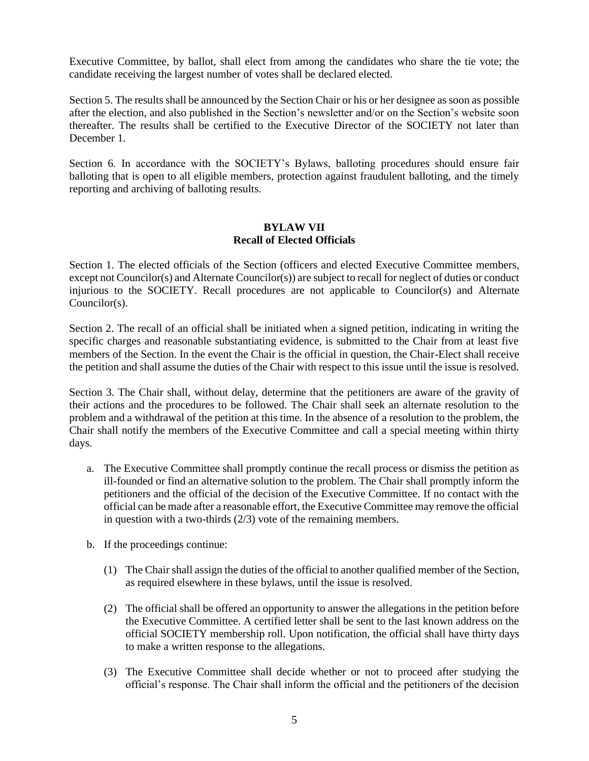Executive Committee, by ballot, shall elect from among the candidates who share the tie vote; the candidate receiving the largest number of votes shall be declared elected.

Section 5. The results shall be announced by the Section Chair or his or her designee as soon as possible after the election, and also published in the Section's newsletter and/or on the Section's website soon thereafter. The results shall be certified to the Executive Director of the SOCIETY not later than December 1.

Section 6. In accordance with the SOCIETY's Bylaws, balloting procedures should ensure fair balloting that is open to all eligible members, protection against fraudulent balloting, and the timely reporting and archiving of balloting results.

#### **BYLAW VII Recall of Elected Officials**

Section 1. The elected officials of the Section (officers and elected Executive Committee members, except not Councilor(s) and Alternate Councilor(s)) are subject to recall for neglect of duties or conduct injurious to the SOCIETY. Recall procedures are not applicable to Councilor(s) and Alternate Councilor(s).

Section 2. The recall of an official shall be initiated when a signed petition, indicating in writing the specific charges and reasonable substantiating evidence, is submitted to the Chair from at least five members of the Section. In the event the Chair is the official in question, the Chair-Elect shall receive the petition and shall assume the duties of the Chair with respect to this issue until the issue is resolved.

Section 3. The Chair shall, without delay, determine that the petitioners are aware of the gravity of their actions and the procedures to be followed. The Chair shall seek an alternate resolution to the problem and a withdrawal of the petition at this time. In the absence of a resolution to the problem, the Chair shall notify the members of the Executive Committee and call a special meeting within thirty days.

- a. The Executive Committee shall promptly continue the recall process or dismiss the petition as ill-founded or find an alternative solution to the problem. The Chair shall promptly inform the petitioners and the official of the decision of the Executive Committee. If no contact with the official can be made after a reasonable effort, the Executive Committee may remove the official in question with a two-thirds (2/3) vote of the remaining members.
- b. If the proceedings continue:
	- (1) The Chair shall assign the duties of the official to another qualified member of the Section, as required elsewhere in these bylaws, until the issue is resolved.
	- (2) The official shall be offered an opportunity to answer the allegations in the petition before the Executive Committee. A certified letter shall be sent to the last known address on the official SOCIETY membership roll. Upon notification, the official shall have thirty days to make a written response to the allegations.
	- (3) The Executive Committee shall decide whether or not to proceed after studying the official's response. The Chair shall inform the official and the petitioners of the decision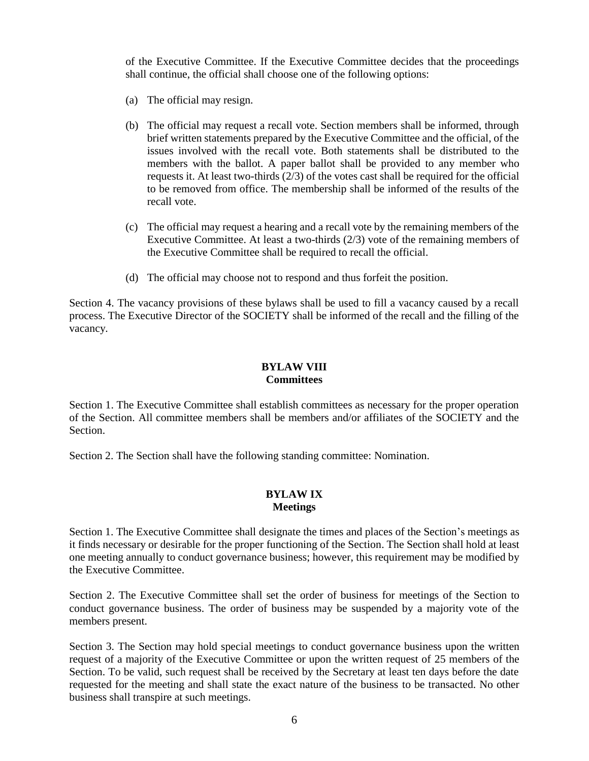of the Executive Committee. If the Executive Committee decides that the proceedings shall continue, the official shall choose one of the following options:

- (a) The official may resign.
- (b) The official may request a recall vote. Section members shall be informed, through brief written statements prepared by the Executive Committee and the official, of the issues involved with the recall vote. Both statements shall be distributed to the members with the ballot. A paper ballot shall be provided to any member who requests it. At least two-thirds (2/3) of the votes cast shall be required for the official to be removed from office. The membership shall be informed of the results of the recall vote.
- (c) The official may request a hearing and a recall vote by the remaining members of the Executive Committee. At least a two-thirds (2/3) vote of the remaining members of the Executive Committee shall be required to recall the official.
- (d) The official may choose not to respond and thus forfeit the position.

Section 4. The vacancy provisions of these bylaws shall be used to fill a vacancy caused by a recall process. The Executive Director of the SOCIETY shall be informed of the recall and the filling of the vacancy.

## **BYLAW VIII Committees**

Section 1. The Executive Committee shall establish committees as necessary for the proper operation of the Section. All committee members shall be members and/or affiliates of the SOCIETY and the Section.

Section 2. The Section shall have the following standing committee: Nomination.

#### **BYLAW IX Meetings**

Section 1. The Executive Committee shall designate the times and places of the Section's meetings as it finds necessary or desirable for the proper functioning of the Section. The Section shall hold at least one meeting annually to conduct governance business; however, this requirement may be modified by the Executive Committee.

Section 2. The Executive Committee shall set the order of business for meetings of the Section to conduct governance business. The order of business may be suspended by a majority vote of the members present.

Section 3. The Section may hold special meetings to conduct governance business upon the written request of a majority of the Executive Committee or upon the written request of 25 members of the Section. To be valid, such request shall be received by the Secretary at least ten days before the date requested for the meeting and shall state the exact nature of the business to be transacted. No other business shall transpire at such meetings.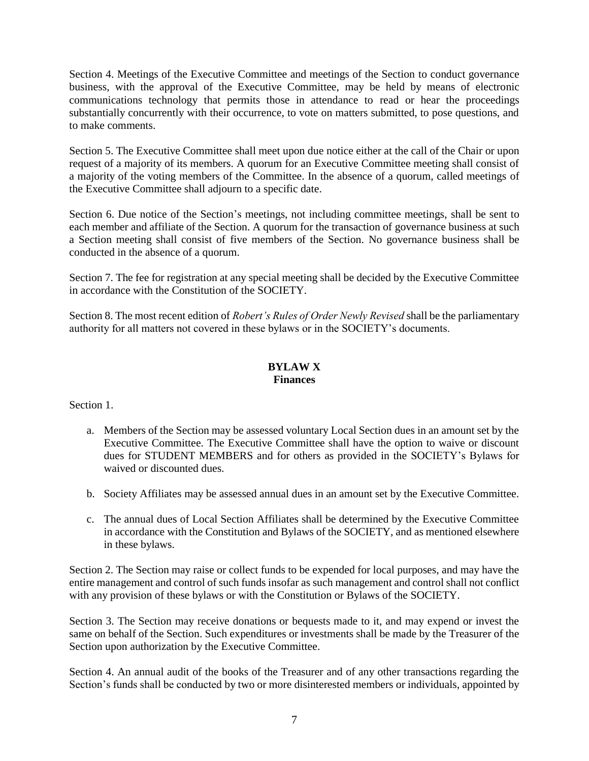Section 4. Meetings of the Executive Committee and meetings of the Section to conduct governance business, with the approval of the Executive Committee, may be held by means of electronic communications technology that permits those in attendance to read or hear the proceedings substantially concurrently with their occurrence, to vote on matters submitted, to pose questions, and to make comments.

Section 5. The Executive Committee shall meet upon due notice either at the call of the Chair or upon request of a majority of its members. A quorum for an Executive Committee meeting shall consist of a majority of the voting members of the Committee. In the absence of a quorum, called meetings of the Executive Committee shall adjourn to a specific date.

Section 6. Due notice of the Section's meetings, not including committee meetings, shall be sent to each member and affiliate of the Section. A quorum for the transaction of governance business at such a Section meeting shall consist of five members of the Section. No governance business shall be conducted in the absence of a quorum.

Section 7. The fee for registration at any special meeting shall be decided by the Executive Committee in accordance with the Constitution of the SOCIETY.

Section 8. The most recent edition of *Robert's Rules of Order Newly Revised* shall be the parliamentary authority for all matters not covered in these bylaws or in the SOCIETY's documents.

## **BYLAW X Finances**

Section 1.

- a. Members of the Section may be assessed voluntary Local Section dues in an amount set by the Executive Committee. The Executive Committee shall have the option to waive or discount dues for STUDENT MEMBERS and for others as provided in the SOCIETY's Bylaws for waived or discounted dues.
- b. Society Affiliates may be assessed annual dues in an amount set by the Executive Committee.
- c. The annual dues of Local Section Affiliates shall be determined by the Executive Committee in accordance with the Constitution and Bylaws of the SOCIETY, and as mentioned elsewhere in these bylaws.

Section 2. The Section may raise or collect funds to be expended for local purposes, and may have the entire management and control of such funds insofar as such management and control shall not conflict with any provision of these bylaws or with the Constitution or Bylaws of the SOCIETY.

Section 3. The Section may receive donations or bequests made to it, and may expend or invest the same on behalf of the Section. Such expenditures or investments shall be made by the Treasurer of the Section upon authorization by the Executive Committee.

Section 4. An annual audit of the books of the Treasurer and of any other transactions regarding the Section's funds shall be conducted by two or more disinterested members or individuals, appointed by